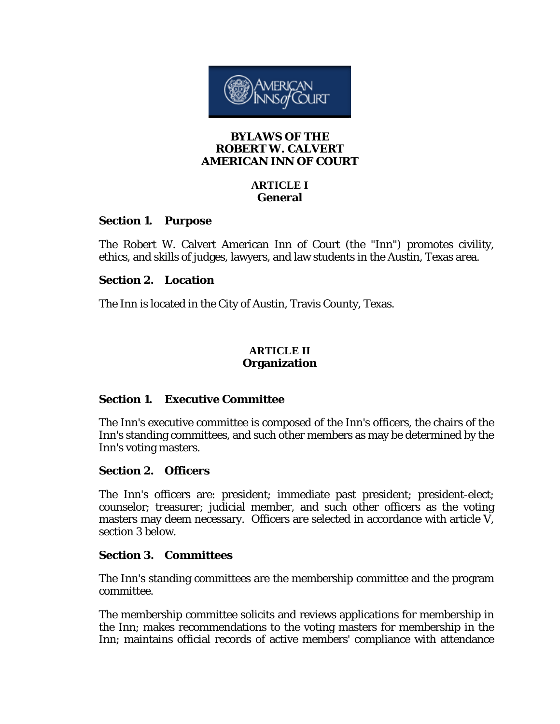

### **BYLAWS OF THE ROBERT W. CALVERT AMERICAN INN OF COURT**

# **ARTICLE I General**

## **Section 1. Purpose**

The Robert W. Calvert American Inn of Court (the "Inn") promotes civility, ethics, and skills of judges, lawyers, and law students in the Austin, Texas area.

## **Section 2. Location**

The Inn is located in the City of Austin, Travis County, Texas.

## **ARTICLE II Organization**

## **Section 1. Executive Committee**

The Inn's executive committee is composed of the Inn's officers, the chairs of the Inn's standing committees, and such other members as may be determined by the Inn's voting masters.

## **Section 2. Officers**

The Inn's officers are: president; immediate past president; president-elect; counselor; treasurer; judicial member, and such other officers as the voting masters may deem necessary. Officers are selected in accordance with article V, section 3 below.

## **Section 3. Committees**

The Inn's standing committees are the membership committee and the program committee.

The membership committee solicits and reviews applications for membership in the Inn; makes recommendations to the voting masters for membership in the Inn; maintains official records of active members' compliance with attendance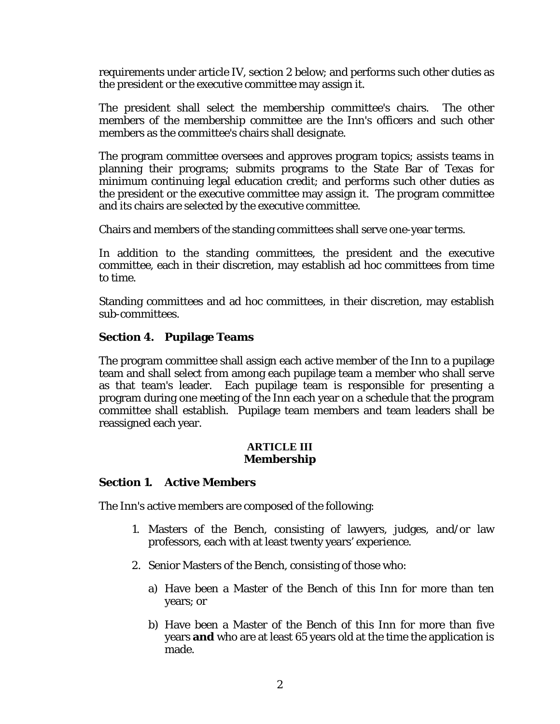requirements under article IV, section 2 below; and performs such other duties as the president or the executive committee may assign it.

The president shall select the membership committee's chairs. The other members of the membership committee are the Inn's officers and such other members as the committee's chairs shall designate.

The program committee oversees and approves program topics; assists teams in planning their programs; submits programs to the State Bar of Texas for minimum continuing legal education credit; and performs such other duties as the president or the executive committee may assign it. The program committee and its chairs are selected by the executive committee.

Chairs and members of the standing committees shall serve one-year terms.

In addition to the standing committees, the president and the executive committee, each in their discretion, may establish ad hoc committees from time to time.

Standing committees and ad hoc committees, in their discretion, may establish sub-committees.

## **Section 4. Pupilage Teams**

The program committee shall assign each active member of the Inn to a pupilage team and shall select from among each pupilage team a member who shall serve as that team's leader. Each pupilage team is responsible for presenting a program during one meeting of the Inn each year on a schedule that the program committee shall establish. Pupilage team members and team leaders shall be reassigned each year.

#### **ARTICLE III Membership**

### **Section 1. Active Members**

The Inn's active members are composed of the following:

- 1. Masters of the Bench, consisting of lawyers, judges, and/or law professors, each with at least twenty years' experience.
- 2. Senior Masters of the Bench, consisting of those who:
	- a) Have been a Master of the Bench of this Inn for more than ten years; or
	- b) Have been a Master of the Bench of this Inn for more than five years **and** who are at least 65 years old at the time the application is made.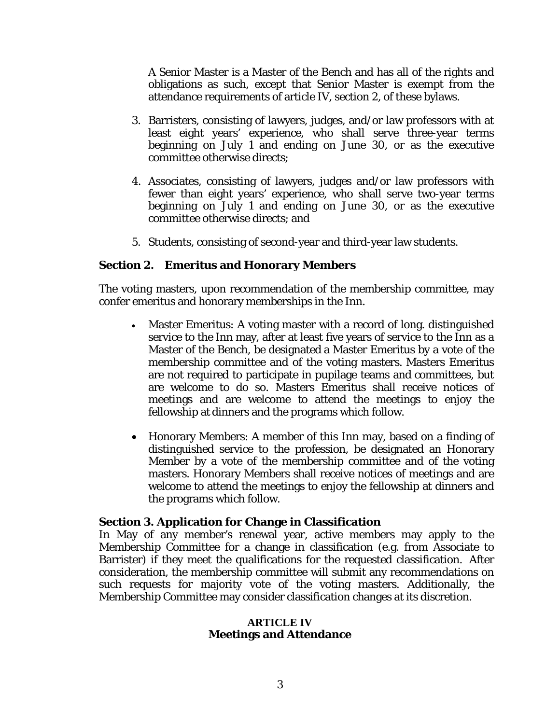A Senior Master is a Master of the Bench and has all of the rights and obligations as such, except that Senior Master is exempt from the attendance requirements of article IV, section 2, of these bylaws.

- 3. Barristers, consisting of lawyers, judges, and/or law professors with at least eight years' experience, who shall serve three-year terms beginning on July 1 and ending on June 30, or as the executive committee otherwise directs;
- 4. Associates, consisting of lawyers, judges and/or law professors with fewer than eight years' experience, who shall serve two-year terms beginning on July 1 and ending on June 30, or as the executive committee otherwise directs; and
- 5. Students, consisting of second-year and third-year law students.

## **Section 2. Emeritus and Honorary Members**

The voting masters, upon recommendation of the membership committee, may confer emeritus and honorary memberships in the Inn.

- Master Emeritus: A voting master with a record of long. distinguished service to the Inn may, after at least five years of service to the Inn as a Master of the Bench, be designated a Master Emeritus by a vote of the membership committee and of the voting masters. Masters Emeritus are not required to participate in pupilage teams and committees, but are welcome to do so. Masters Emeritus shall receive notices of meetings and are welcome to attend the meetings to enjoy the fellowship at dinners and the programs which follow.
- Honorary Members: A member of this Inn may, based on a finding of distinguished service to the profession, be designated an Honorary Member by a vote of the membership committee and of the voting masters. Honorary Members shall receive notices of meetings and are welcome to attend the meetings to enjoy the fellowship at dinners and the programs which follow.

### **Section 3. Application for Change in Classification**

In May of any member's renewal year, active members may apply to the Membership Committee for a change in classification (e.g. from Associate to Barrister) if they meet the qualifications for the requested classification. After consideration, the membership committee will submit any recommendations on such requests for majority vote of the voting masters. Additionally, the Membership Committee may consider classification changes at its discretion.

#### **ARTICLE IV Meetings and Attendance**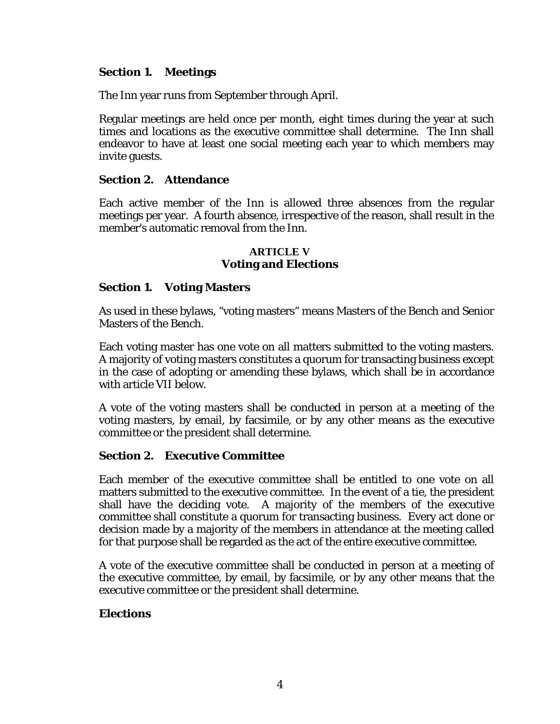# **Section 1. Meetings**

The Inn year runs from September through April.

Regular meetings are held once per month, eight times during the year at such times and locations as the executive committee shall determine. The Inn shall endeavor to have at least one social meeting each year to which members may invite guests.

## **Section 2. Attendance**

Each active member of the Inn is allowed three absences from the regular meetings per year. A fourth absence, irrespective of the reason, shall result in the member's automatic removal from the Inn.

### **ARTICLE V Voting and Elections**

## **Section 1. Voting Masters**

As used in these bylaws, "voting masters" means Masters of the Bench and Senior Masters of the Bench.

Each voting master has one vote on all matters submitted to the voting masters. A majority of voting masters constitutes a quorum for transacting business except in the case of adopting or amending these bylaws, which shall be in accordance with article VII below.

A vote of the voting masters shall be conducted in person at a meeting of the voting masters, by email, by facsimile, or by any other means as the executive committee or the president shall determine.

### **Section 2. Executive Committee**

Each member of the executive committee shall be entitled to one vote on all matters submitted to the executive committee. In the event of a tie, the president shall have the deciding vote. A majority of the members of the executive committee shall constitute a quorum for transacting business. Every act done or decision made by a majority of the members in attendance at the meeting called for that purpose shall be regarded as the act of the entire executive committee.

A vote of the executive committee shall be conducted in person at a meeting of the executive committee, by email, by facsimile, or by any other means that the executive committee or the president shall determine.

## **Elections**